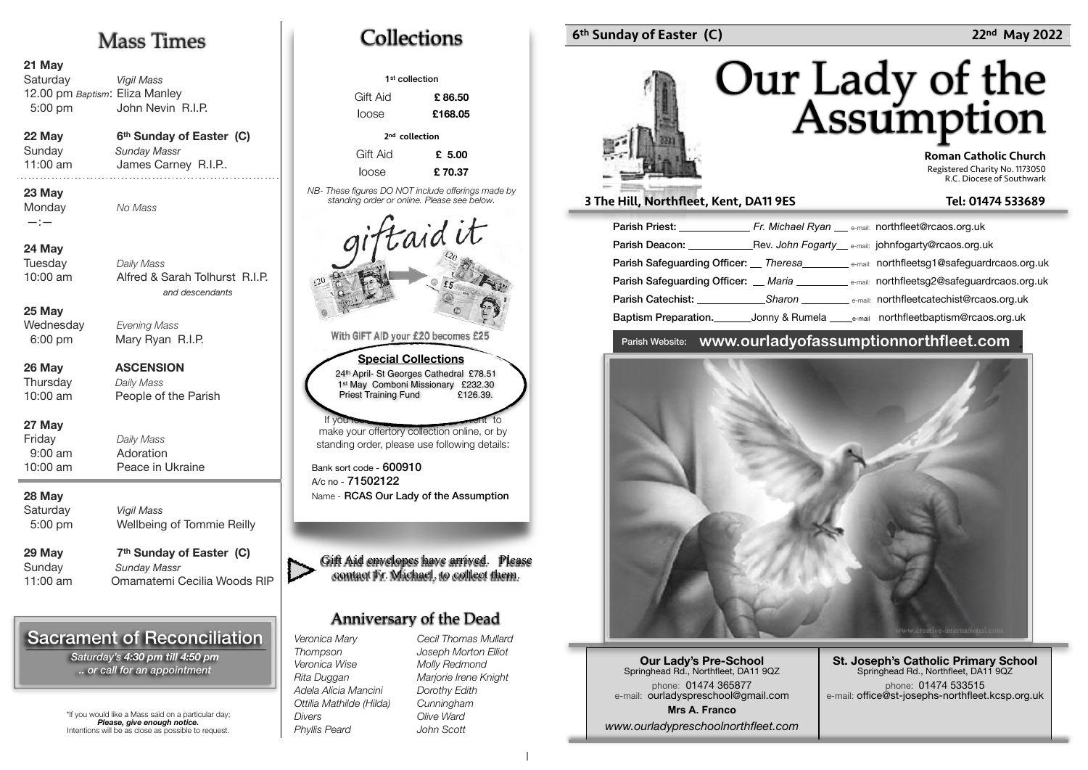## Mass Times

#### **21 May**

**Saturday** Vigil Mass 12.00 pm Baptism: Eliza Manley John Nevin R.I.P. 5:00 pm

#### 22 May 6<sup>th</sup> Sunday of Easter (C) **Sunday Massr** Sunday

11:00 am James Carney R.I.P.. **23 May** 

**Monday** —:—

**24 May**

**Tuesday** Daily Mass 10:00 am Alfred & Sarah Tolhurst R.I.P. and descendants

No Mass

**25 May** Wednesday

6:00 pm

**26 May ASCENSION Thursday** 

Daily Mass People of the Parish 10:00 am

Evening Mass Mary Ryan R.I.P.

#### **27 May**

Friday Daily Mass 9:00 am Adoration 10:00 am Peace in Ukraine

#### **28 May**

Saturday **Viail Mass** 5:00 pm

Wellbeing of Tommie Reilly

**Sundav** 

29 May 7<sup>th</sup> Sunday of Easter (C) Sundav Massr 11:00 am Omamatemi Cecilia Woods RIP

## Sacrament of Reconciliation

*Saturday's 4:30 pm till 4:50 pm .. or call for an appointment*

\*If you would like a Mass said on a particular day; *Please, give enough notice.* Intentions will be as close as possible to request.



| 1 <sup>st</sup> collection                                                                                                                             |         |  |  |
|--------------------------------------------------------------------------------------------------------------------------------------------------------|---------|--|--|
| Gift Aid                                                                                                                                               | £86.50  |  |  |
| loose                                                                                                                                                  | £168.05 |  |  |
| 2 <sup>nd</sup> collection                                                                                                                             |         |  |  |
| Gift Aid                                                                                                                                               | £ 5.00  |  |  |
| loose                                                                                                                                                  | £70.37  |  |  |
| NB-These figures DO NOT include offerings made by<br>standing order or online. Please see below.                                                       |         |  |  |
| taid it                                                                                                                                                |         |  |  |
| 20                                                                                                                                                     |         |  |  |
| With GIFT AID your £20 becomes £25                                                                                                                     |         |  |  |
| <b>Special Collections</b><br>24th April- St Georges Cathedral £78.51<br>1st May Comboni Missionary £232.30<br><b>Priest Training Fund</b><br>£126.39. |         |  |  |
| If you took                                                                                                                                            | ment to |  |  |
| make your offertory collection online, or by<br>standing order, please use following details:                                                          |         |  |  |
| Bank sort code - 600910<br>A/c no - 71502122<br>Name - RCAS Our Lady of the Assumption                                                                 |         |  |  |
|                                                                                                                                                        |         |  |  |
| Gift Aid envelopes have arrived. Please<br>contact Fr. Michael, to collect them.                                                                       |         |  |  |

## Anniversary of the Dead

*Veronica Mary Thompson Veronica Wise Rita Duggan Adela Alicia Mancini Ottilia Mathilde (Hilda) Phyllis Peard Cecil Thomas Mullard Joseph Morton Elliot Molly Redmond Marjorie Irene Knight Dorothy Edith Cunningham Olive Ward John Scott* 

*Divers* 

### 6th Sunday of Easter (C) 22nd May 2022



 Roman Catholic Church Registered Charity No. 1173050 R.C. Diocese of Southwark

#### 3 The Hill, Northfleet, Kent, DA11 9ES Tel: 01474 533689

| <b>Parish Priest:</b> Fr. Michael Ryan e-mail: northfleet@rcaos.org.uk                                                                                                                                                         |                                                                                                                |
|--------------------------------------------------------------------------------------------------------------------------------------------------------------------------------------------------------------------------------|----------------------------------------------------------------------------------------------------------------|
| Parish Deacon: The Contract of the Contract of the Contract of the Contract of the Contract of the Contract of the Contract of the Contract of the Contract of the Contract of the Contract of the Contract of the Contract of | Rev. John Fogarty e-mail: johnfogarty@rcaos.org.uk                                                             |
|                                                                                                                                                                                                                                | Parish Safeguarding Officer: __ Theresa____________ e-mail: northfleetsg1@safeguardrcaos.org.uk                |
|                                                                                                                                                                                                                                | <b>Parish Safequarding Officer:</b> Maria <b>National State of the Care of Safequardreaos.org.uk</b>           |
|                                                                                                                                                                                                                                | <b>Parish Catechist:</b> Sharon <b>Catechist Catechist Catechist Catechist</b> Catechist Catechist Catechist C |
| Baptism Preparation.                                                                                                                                                                                                           | Jonny & Rumela ______e-mail northfleetbaptism@rcaos.org.uk                                                     |

### Parish Website: **www.ourladyofassumptionnorthfleet.com** .



**Our Lady's Pre-School**  Springhead Rd., Northfleet, DA11 9QZ phone: 01474 365877 e-mail: ourladyspreschool@gmail.com **Mrs A. Franco** *www.ourladypreschoolnorthfleet.com*

**St. Joseph's Catholic Primary School** Springhead Rd., Northfleet, DA11 9QZ phone: 01474 533515 e-mail: office@st-josephs-northfleet.kcsp.org.uk